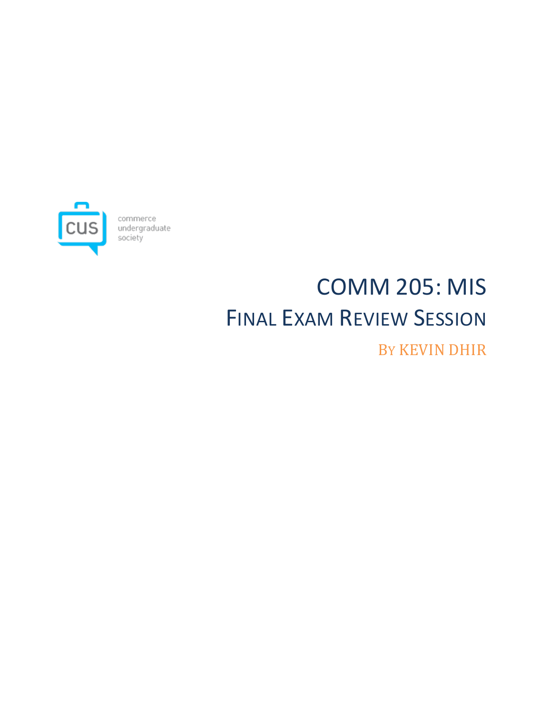

commerce<br>undergraduate<br>society

# COMM 205: MIS FINAL EXAM REVIEW SESSION BY KEVIN DHIR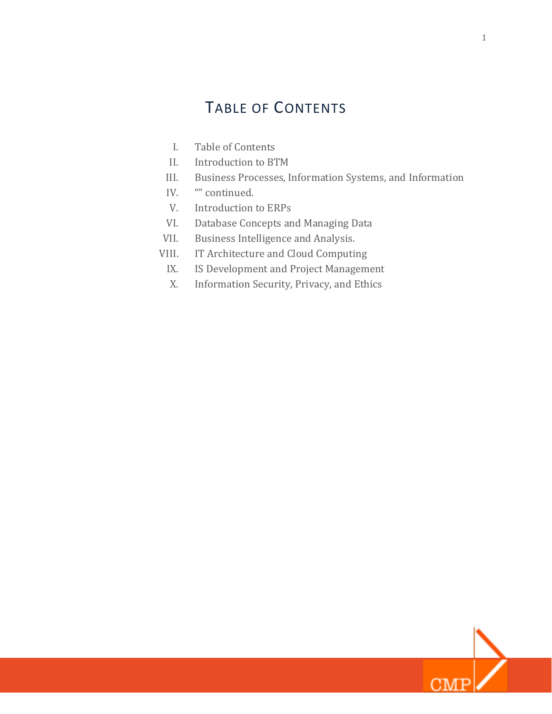# TABLE OF CONTENTS

- I. Table of Contents
- II. Introduction to BTM
- III. Business Processes, Information Systems, and Information
- IV. **""** continued.
- V. Introduction to ERPs
- VI. Database Concepts and Managing Data
- VII. Business Intelligence and Analysis.
- VIII. IT Architecture and Cloud Computing
	- IX. IS Development and Project Management
	- X. Information Security, Privacy, and Ethics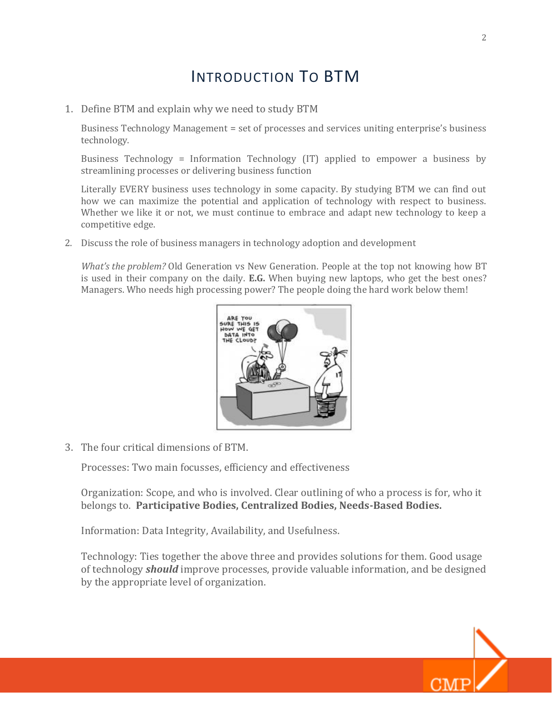### INTRODUCTION TO BTM

1. Define BTM and explain why we need to study BTM

Business Technology Management = set of processes and services uniting enterprise's business technology.

Business Technology = Information Technology (IT) applied to empower a business by streamlining processes or delivering business function

Literally EVERY business uses technology in some capacity. By studying BTM we can find out how we can maximize the potential and application of technology with respect to business. Whether we like it or not, we must continue to embrace and adapt new technology to keep a competitive edge.

2. Discuss the role of business managers in technology adoption and development

*What's the problem?* Old Generation vs New Generation. People at the top not knowing how BT is used in their company on the daily. **E.G.** When buying new laptops, who get the best ones? Managers. Who needs high processing power? The people doing the hard work below them!



3. The four critical dimensions of BTM.

Processes: Two main focusses, efficiency and effectiveness

Organization: Scope, and who is involved. Clear outlining of who a process is for, who it belongs to. **Participative Bodies, Centralized Bodies, Needs-Based Bodies.**

Information: Data Integrity, Availability, and Usefulness.

Technology: Ties together the above three and provides solutions for them. Good usage of technology *should* improve processes, provide valuable information, and be designed by the appropriate level of organization.

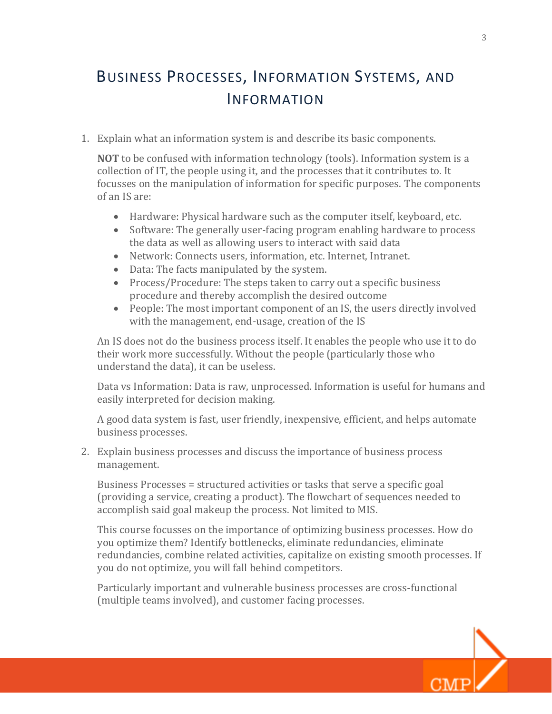# BUSINESS PROCESSES, INFORMATION SYSTEMS, AND INFORMATION

1. Explain what an information system is and describe its basic components.

**NOT** to be confused with information technology (tools). Information system is a collection of IT, the people using it, and the processes that it contributes to. It focusses on the manipulation of information for specific purposes. The components of an IS are:

- Hardware: Physical hardware such as the computer itself, keyboard, etc.
- Software: The generally user-facing program enabling hardware to process the data as well as allowing users to interact with said data
- Network: Connects users, information, etc. Internet, Intranet.
- Data: The facts manipulated by the system.
- Process/Procedure: The steps taken to carry out a specific business procedure and thereby accomplish the desired outcome
- People: The most important component of an IS, the users directly involved with the management, end-usage, creation of the IS

An IS does not do the business process itself. It enables the people who use it to do their work more successfully. Without the people (particularly those who understand the data), it can be useless.

Data vs Information: Data is raw, unprocessed. Information is useful for humans and easily interpreted for decision making.

A good data system is fast, user friendly, inexpensive, efficient, and helps automate business processes.

2. Explain business processes and discuss the importance of business process management.

Business Processes = structured activities or tasks that serve a specific goal (providing a service, creating a product). The flowchart of sequences needed to accomplish said goal makeup the process. Not limited to MIS.

This course focusses on the importance of optimizing business processes. How do you optimize them? Identify bottlenecks, eliminate redundancies, eliminate redundancies, combine related activities, capitalize on existing smooth processes. If you do not optimize, you will fall behind competitors.

Particularly important and vulnerable business processes are cross-functional (multiple teams involved), and customer facing processes.

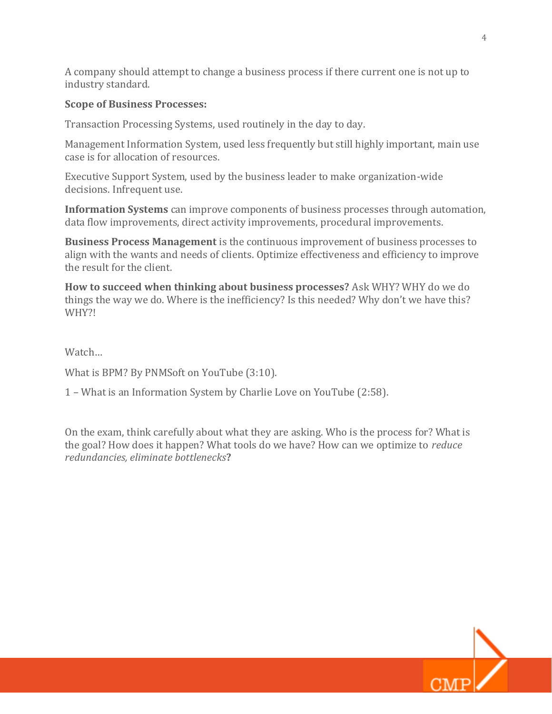A company should attempt to change a business process if there current one is not up to industry standard.

#### **Scope of Business Processes:**

Transaction Processing Systems, used routinely in the day to day.

Management Information System, used less frequently but still highly important, main use case is for allocation of resources.

Executive Support System, used by the business leader to make organization-wide decisions. Infrequent use.

**Information Systems** can improve components of business processes through automation, data flow improvements, direct activity improvements, procedural improvements.

**Business Process Management** is the continuous improvement of business processes to align with the wants and needs of clients. Optimize effectiveness and efficiency to improve the result for the client.

**How to succeed when thinking about business processes?** Ask WHY? WHY do we do things the way we do. Where is the inefficiency? Is this needed? Why don't we have this? WHY?!

Watch…

What is BPM? By PNMSoft on YouTube (3:10).

1 – What is an Information System by Charlie Love on YouTube (2:58).

On the exam, think carefully about what they are asking. Who is the process for? What is the goal? How does it happen? What tools do we have? How can we optimize to *reduce redundancies, eliminate bottlenecks***?**

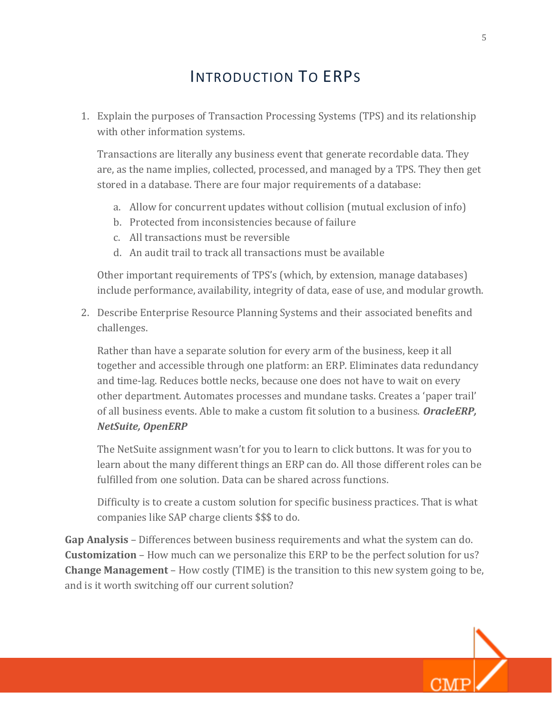# INTRODUCTION TO ERPS

1. Explain the purposes of Transaction Processing Systems (TPS) and its relationship with other information systems.

Transactions are literally any business event that generate recordable data. They are, as the name implies, collected, processed, and managed by a TPS. They then get stored in a database. There are four major requirements of a database:

- a. Allow for concurrent updates without collision (mutual exclusion of info)
- b. Protected from inconsistencies because of failure
- c. All transactions must be reversible
- d. An audit trail to track all transactions must be available

Other important requirements of TPS's (which, by extension, manage databases) include performance, availability, integrity of data, ease of use, and modular growth.

2. Describe Enterprise Resource Planning Systems and their associated benefits and challenges.

Rather than have a separate solution for every arm of the business, keep it all together and accessible through one platform: an ERP. Eliminates data redundancy and time-lag. Reduces bottle necks, because one does not have to wait on every other department. Automates processes and mundane tasks. Creates a 'paper trail' of all business events. Able to make a custom fit solution to a business. *OracleERP, NetSuite, OpenERP*

The NetSuite assignment wasn't for you to learn to click buttons. It was for you to learn about the many different things an ERP can do. All those different roles can be fulfilled from one solution. Data can be shared across functions.

Difficulty is to create a custom solution for specific business practices. That is what companies like SAP charge clients \$\$\$ to do.

**Gap Analysis** – Differences between business requirements and what the system can do. **Customization** – How much can we personalize this ERP to be the perfect solution for us? **Change Management** – How costly (TIME) is the transition to this new system going to be, and is it worth switching off our current solution?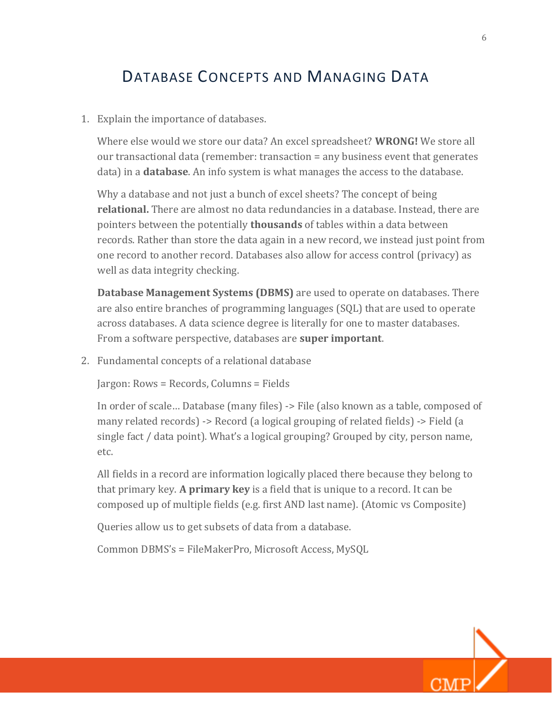#### DATABASE CONCEPTS AND MANAGING DATA

1. Explain the importance of databases.

Where else would we store our data? An excel spreadsheet? **WRONG!** We store all our transactional data (remember: transaction = any business event that generates data) in a **database**. An info system is what manages the access to the database.

Why a database and not just a bunch of excel sheets? The concept of being **relational.** There are almost no data redundancies in a database. Instead, there are pointers between the potentially **thousands** of tables within a data between records. Rather than store the data again in a new record, we instead just point from one record to another record. Databases also allow for access control (privacy) as well as data integrity checking.

**Database Management Systems (DBMS)** are used to operate on databases. There are also entire branches of programming languages (SQL) that are used to operate across databases. A data science degree is literally for one to master databases. From a software perspective, databases are **super important**.

2. Fundamental concepts of a relational database

Jargon: Rows = Records, Columns = Fields

In order of scale… Database (many files) -> File (also known as a table, composed of many related records) -> Record (a logical grouping of related fields) -> Field (a single fact / data point). What's a logical grouping? Grouped by city, person name, etc.

All fields in a record are information logically placed there because they belong to that primary key. **A primary key** is a field that is unique to a record. It can be composed up of multiple fields (e.g. first AND last name). (Atomic vs Composite)

Queries allow us to get subsets of data from a database.

Common DBMS's = FileMakerPro, Microsoft Access, MySQL

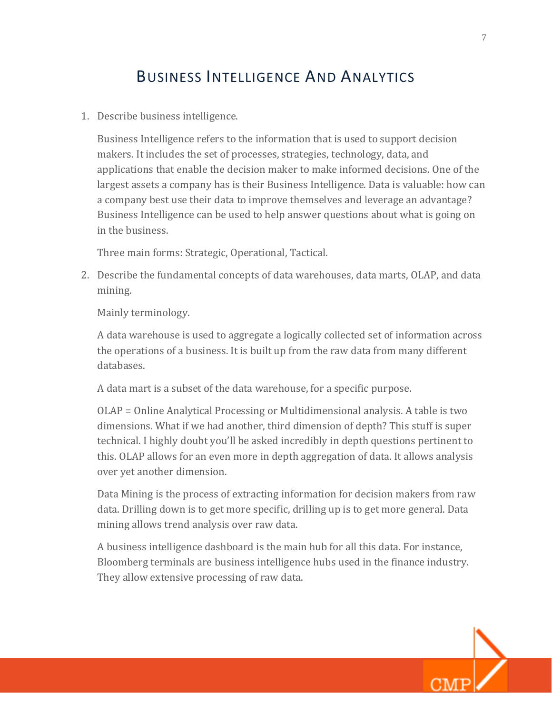## BUSINESS INTELLIGENCE AND ANALYTICS

1. Describe business intelligence.

Business Intelligence refers to the information that is used to support decision makers. It includes the set of processes, strategies, technology, data, and applications that enable the decision maker to make informed decisions. One of the largest assets a company has is their Business Intelligence. Data is valuable: how can a company best use their data to improve themselves and leverage an advantage? Business Intelligence can be used to help answer questions about what is going on in the business.

Three main forms: Strategic, Operational, Tactical.

2. Describe the fundamental concepts of data warehouses, data marts, OLAP, and data mining.

Mainly terminology.

A data warehouse is used to aggregate a logically collected set of information across the operations of a business. It is built up from the raw data from many different databases.

A data mart is a subset of the data warehouse, for a specific purpose.

OLAP = Online Analytical Processing or Multidimensional analysis. A table is two dimensions. What if we had another, third dimension of depth? This stuff is super technical. I highly doubt you'll be asked incredibly in depth questions pertinent to this. OLAP allows for an even more in depth aggregation of data. It allows analysis over yet another dimension.

Data Mining is the process of extracting information for decision makers from raw data. Drilling down is to get more specific, drilling up is to get more general. Data mining allows trend analysis over raw data.

A business intelligence dashboard is the main hub for all this data. For instance, Bloomberg terminals are business intelligence hubs used in the finance industry. They allow extensive processing of raw data.



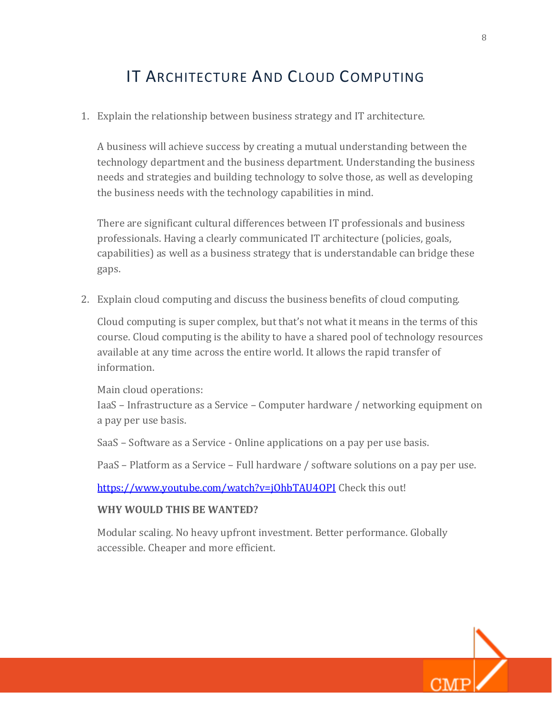## IT ARCHITECTURE AND CLOUD COMPUTING

1. Explain the relationship between business strategy and IT architecture.

A business will achieve success by creating a mutual understanding between the technology department and the business department. Understanding the business needs and strategies and building technology to solve those, as well as developing the business needs with the technology capabilities in mind.

There are significant cultural differences between IT professionals and business professionals. Having a clearly communicated IT architecture (policies, goals, capabilities) as well as a business strategy that is understandable can bridge these gaps.

2. Explain cloud computing and discuss the business benefits of cloud computing.

Cloud computing is super complex, but that's not what it means in the terms of this course. Cloud computing is the ability to have a shared pool of technology resources available at any time across the entire world. It allows the rapid transfer of information.

Main cloud operations:

IaaS – Infrastructure as a Service – Computer hardware / networking equipment on a pay per use basis.

SaaS – Software as a Service - Online applications on a pay per use basis.

PaaS – Platform as a Service – Full hardware / software solutions on a pay per use.

https://www.youtube.com/watch?v=j0hbTAU40PI Check this out!

#### **WHY WOULD THIS BE WANTED?**

Modular scaling. No heavy upfront investment. Better performance. Globally accessible. Cheaper and more efficient.

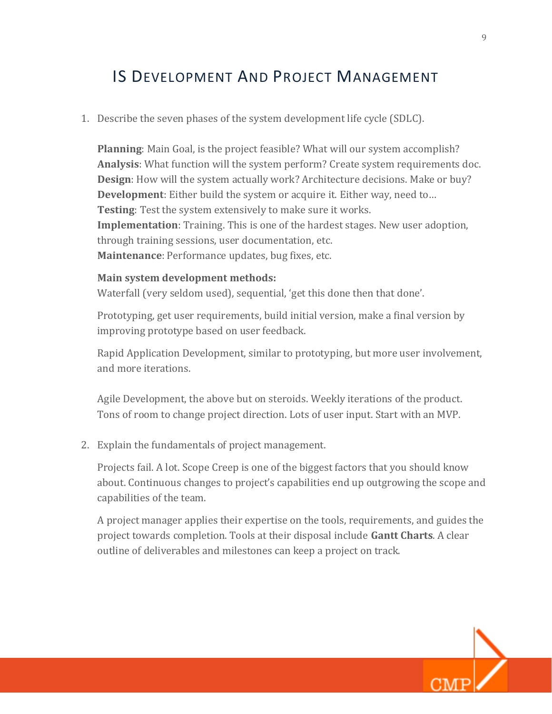#### IS DEVELOPMENT AND PROJECT MANAGEMENT

1. Describe the seven phases of the system development life cycle (SDLC).

**Planning**: Main Goal, is the project feasible? What will our system accomplish? **Analysis**: What function will the system perform? Create system requirements doc. **Design**: How will the system actually work? Architecture decisions. Make or buy? **Development**: Either build the system or acquire it. Either way, need to… **Testing**: Test the system extensively to make sure it works. **Implementation**: Training. This is one of the hardest stages. New user adoption, through training sessions, user documentation, etc. **Maintenance**: Performance updates, bug fixes, etc.

#### **Main system development methods:**

Waterfall (very seldom used), sequential, 'get this done then that done'.

Prototyping, get user requirements, build initial version, make a final version by improving prototype based on user feedback.

Rapid Application Development, similar to prototyping, but more user involvement, and more iterations.

Agile Development, the above but on steroids. Weekly iterations of the product. Tons of room to change project direction. Lots of user input. Start with an MVP.

2. Explain the fundamentals of project management.

Projects fail. A lot. Scope Creep is one of the biggest factors that you should know about. Continuous changes to project's capabilities end up outgrowing the scope and capabilities of the team.

A project manager applies their expertise on the tools, requirements, and guides the project towards completion. Tools at their disposal include **Gantt Charts**. A clear outline of deliverables and milestones can keep a project on track.